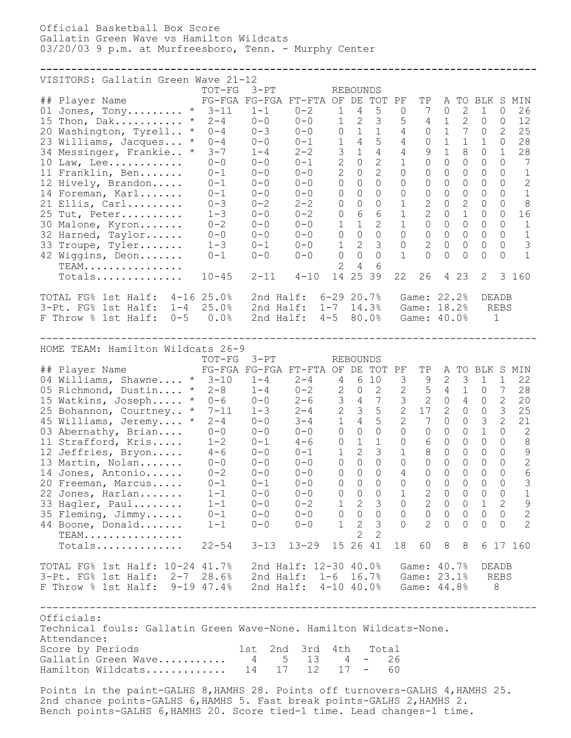Official Basketball Box Score Gallatin Green Wave vs Hamilton Wildcats 03/20/03 9 p.m. at Murfreesboro, Tenn. - Murphy Center

## **--------------------------------------------------------------------------------** VISITORS: Gallatin Green Wave 21-12 TOT-FG 3-PT REBOUNDS ## Player Name FG-FGA FG-FGA FT-FTA OF DE TOT PF TP A TO BLK S MIN  $\overline{01}$  Jones, Tony........... \* 3-11 1-1 0-2 1 4 5 0 7 0 2 1 0 26 15 Thon, Dak........... \* 2-4 0-0 0-0 1 2 3 5 4 1 2 0 0 12 20 Washington, Tyrell.. \* 0-4 0-3 0-0 0 1 1 4 0 1 7 0 2 25 23 Williams, Jacques... \* 0-4 0-0 0-1 1 4 5 4 0 1 1 1 0 28 34 Messinger, Frankie.. \* 3-7 1-4 2-2 3 1 4 4 9 1 8 0 1 28 10 Law, Lee............ 0-0 0-0 0-1 2 0 2 1 0 0 0 0 0 7 11 Franklin, Ben....... 0-1 0-0 0-0 2 0 2 0 0 0 0 0 0 1 12 Hively, Brandon..... 0-1 0-0 0-0 0 0 0 0 0 0 0 0 0 2 14 Foreman, Karl....... 0-1 0-0 0-0 0 0 0 0 0 0 0 0 0 1 21 Ellis, Carl......... 0-3 0-2 2-2 0 0 0 1 2 0 2 0 0 8 25 Tut, Peter.......... 1-3 0-0 0-2 0 6 6 1 2 0 1 0 0 16 30 Malone, Kyron....... 0-2 0-0 0-0 1 1 2 1 0 0 0 0 0 1 32 Harned, Taylor...... 0-0 0-0 0-0 0 0 0 0 0 0 0 0 0 1 33 Troupe, Tyler....... 1-3 0-1 0-0 1 2 3 0 2 0 0 0 0 3 42 Wiggins, Deon....... 0-1 0-0 0-0 0 0 0 1 0 0 0 0 0 1 TEAM................ 2 4 6 Totals.............. 10-45 2-11 4-10 14 25 39 22 26 4 23 2 3 160 TOTAL FG% 1st Half: 4-16 25.0% 2nd Half: 6-29 20.7% Game: 22.2% DEADB 3-Pt. FG% 1st Half: 1-4 25.0% 2nd Half: 1-7 14.3% Game: 18.2% REBS F Throw % 1st Half: 0-5 0.0% 2nd Half: 4-5 80.0% Game: 40.0% 1 -------------------------------------------------------------------------------- HOME TEAM: Hamilton Wildcats 26-9<br>TOT-FG 3-PT REBOUNDS TOT-FG 3-PT REBOUNDS ## Player Name FG-FGA FG-FGA FT-FTA OF DE TOT PF TP A TO BLK S MIN 04 Williams, Shawne.... \* 3-10 1-4 2-4 4 6 10 3 9 2 3 1 1 22 05 Richmond, Dustin.... \* 2-8 1-4 0-2 2 0 2 2 5 4 1 0 7 28 15 Watkins, Joseph..... \* 0-6 0-0 2-6 3 4 7 3 2 0 4 0 2 20 25 Bohannon, Courtney.. \* 7-11 1-3 2-4 2 3 5 2 17 2 0 0 3 25 45 Williams, Jeremy.... \* 2-4 0-0 3-4 1 4 5 2 7 0 0 3 2 21 03 Abernathy, Brian.... 0-0 0-0 0-0 0 0 0 0 0 0 0 1 0 2 11 Strafford, Kris..... 1-2 0-1 4-6 0 1 1 0 6 0 0 0 0 8 12 Jeffries, Bryon..... 4-6 0-0 0-1 1 2 3 1 8 0 0 0 0 9 13 Martin, Nolan....... 0-0 0-0 0-0 0 0 0 0 0 0 0 0 0 2 14 Jones, Antonio...... 0-2 0-0 0-0 0 0 0 4 0 0 0 0 0 6 20 Freeman, Marcus..... 0-1 0-1 0-0 0 0 0 0 0 0 0 0 0 3 22 Jones, Harlan....... 1-1 0-0 0-0 0 0 0 1 2 0 0 0 0 1 33 Hagler, Paul........ 1-1 0-0 0-2 1 2 3 0 2 0 0 1 2 9 35 Fleming, Jimmy...... 0-1 0-0 0-0 0 0 0 0 0 0 0 0 0 2 44 Boone, Donald....... 1-1 0-0 0-0 1 2 3 0 2 0 0 0 0 2 TEAM................ 2 2 TEAM.................<br>Totals............... 22-54 3-13 13-29 15 26 41 18 60 8 8 6 17 160 TOTAL FG% 1st Half: 10-24 41.7% 2nd Half: 12-30 40.0% Game: 40.7% DEADB 3-Pt. FG% 1st Half: 2-7 28.6% 2nd Half: 1-6 16.7% Game: 23.1% REBS F Throw % 1st Half: 9-19 47.4% 2nd Half: 4-10 40.0% Game: 44.8% 8 -------------------------------------------------------------------------------- Officials: Technical fouls: Gallatin Green Wave-None. Hamilton Wildcats-None. Attendance: Score by Periods 1st 2nd 3rd 4th Total Gallatin Green Wave........... 4 5 13 4 - 26

Points in the paint-GALHS 8,HAMHS 28. Points off turnovers-GALHS 4,HAMHS 25. 2nd chance points-GALHS 6, HAMHS 5. Fast break points-GALHS 2, HAMHS 2. Bench points-GALHS 6,HAMHS 20. Score tied-1 time. Lead changes-1 time.

Hamilton Wildcats............. 14 17 12 17 - 60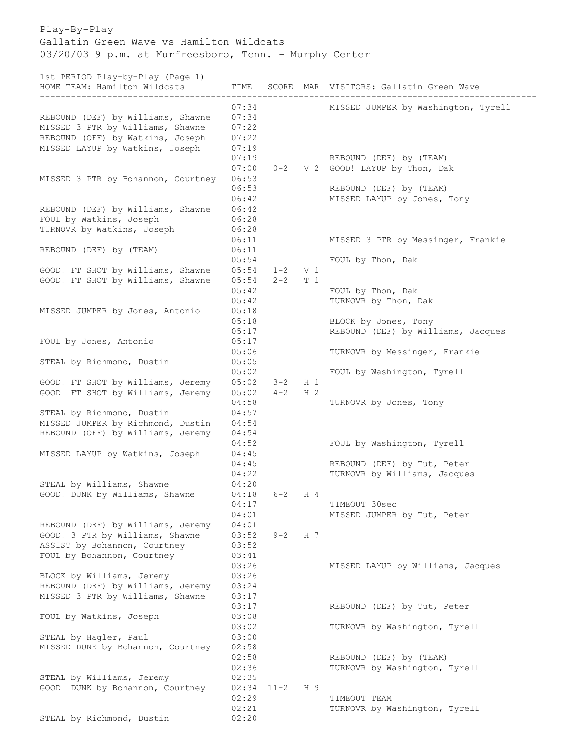Play-By-Play Gallatin Green Wave vs Hamilton Wildcats 03/20/03 9 p.m. at Murfreesboro, Tenn. - Murphy Center

1st PERIOD Play-by-Play (Page 1)

| HOME TEAM: Hamilton Wildcats                                                                              | TIME                             |                    |                         | SCORE MAR VISITORS: Gallatin Green Wave                      |
|-----------------------------------------------------------------------------------------------------------|----------------------------------|--------------------|-------------------------|--------------------------------------------------------------|
| REBOUND (DEF) by Williams, Shawne<br>MISSED 3 PTR by Williams, Shawne<br>REBOUND (OFF) by Watkins, Joseph | 07:34<br>07:34<br>07:22<br>07:22 |                    |                         | MISSED JUMPER by Washington, Tyrell                          |
| MISSED LAYUP by Watkins, Joseph<br>MISSED 3 PTR by Bohannon, Courtney                                     | 07:19<br>07:19<br>07:00<br>06:53 | $0 - 2$            |                         | REBOUND (DEF) by (TEAM)<br>V 2 GOOD! LAYUP by Thon, Dak      |
|                                                                                                           | 06:53<br>06:42                   |                    |                         | REBOUND (DEF) by (TEAM)<br>MISSED LAYUP by Jones, Tony       |
| REBOUND (DEF) by Williams, Shawne<br>FOUL by Watkins, Joseph<br>TURNOVR by Watkins, Joseph                | 06:42<br>06:28<br>06:28<br>06:11 |                    |                         | MISSED 3 PTR by Messinger, Frankie                           |
| REBOUND (DEF) by (TEAM)                                                                                   | 06:11<br>05:54                   |                    |                         | FOUL by Thon, Dak                                            |
| GOOD! FT SHOT by Williams, Shawne<br>GOOD! FT SHOT by Williams, Shawne                                    | 05:54<br>05:54<br>05:42          | $1 - 2$<br>$2 - 2$ | V <sub>1</sub><br>T 1   | FOUL by Thon, Dak                                            |
| MISSED JUMPER by Jones, Antonio                                                                           | 05:42<br>05:18<br>05:18          |                    |                         | TURNOVR by Thon, Dak<br>BLOCK by Jones, Tony                 |
| FOUL by Jones, Antonio                                                                                    | 05:17<br>05:17                   |                    |                         | REBOUND (DEF) by Williams, Jacques                           |
| STEAL by Richmond, Dustin                                                                                 | 05:06<br>05:05<br>05:02          |                    |                         | TURNOVR by Messinger, Frankie<br>FOUL by Washington, Tyrell  |
| GOOD! FT SHOT by Williams, Jeremy<br>GOOD! FT SHOT by Williams, Jeremy                                    | 05:02<br>05:02<br>04:58          | $3 - 2$<br>$4 - 2$ | $H_1$<br>H <sub>2</sub> | TURNOVR by Jones, Tony                                       |
| STEAL by Richmond, Dustin<br>MISSED JUMPER by Richmond, Dustin<br>REBOUND (OFF) by Williams, Jeremy       | 04:57<br>04:54<br>04:54          |                    |                         |                                                              |
| MISSED LAYUP by Watkins, Joseph                                                                           | 04:52<br>04:45<br>04:45          |                    |                         | FOUL by Washington, Tyrell<br>REBOUND (DEF) by Tut, Peter    |
| STEAL by Williams, Shawne<br>GOOD! DUNK by Williams, Shawne                                               | 04:22<br>04:20<br>04:18          | $6 - 2$            | H 4                     | TURNOVR by Williams, Jacques                                 |
| REBOUND (DEF) by Williams, Jeremy                                                                         | 04:17<br>04:01<br>04:01          |                    |                         | TIMEOUT 30sec<br>MISSED JUMPER by Tut, Peter                 |
| GOOD! 3 PTR by Williams, Shawne<br>ASSIST by Bohannon, Courtney<br>FOUL by Bohannon, Courtney             | 03:52<br>03:52<br>03:41<br>03:26 | $9 - 2$            | H 7                     | MISSED LAYUP by Williams, Jacques                            |
| BLOCK by Williams, Jeremy<br>REBOUND (DEF) by Williams, Jeremy<br>MISSED 3 PTR by Williams, Shawne        | 03:26<br>03:24<br>03:17          |                    |                         |                                                              |
| FOUL by Watkins, Joseph                                                                                   | 03:17<br>03:08<br>03:02          |                    |                         | REBOUND (DEF) by Tut, Peter<br>TURNOVR by Washington, Tyrell |
| STEAL by Hagler, Paul<br>MISSED DUNK by Bohannon, Courtney                                                | 03:00<br>02:58<br>02:58          |                    |                         | REBOUND (DEF) by (TEAM)                                      |
| STEAL by Williams, Jeremy<br>GOOD! DUNK by Bohannon, Courtney                                             | 02:36<br>02:35<br>02:34          | 11-2               | H 9                     | TURNOVR by Washington, Tyrell                                |
| STEAL by Richmond, Dustin                                                                                 | 02:29<br>02:21<br>02:20          |                    |                         | TIMEOUT TEAM<br>TURNOVR by Washington, Tyrell                |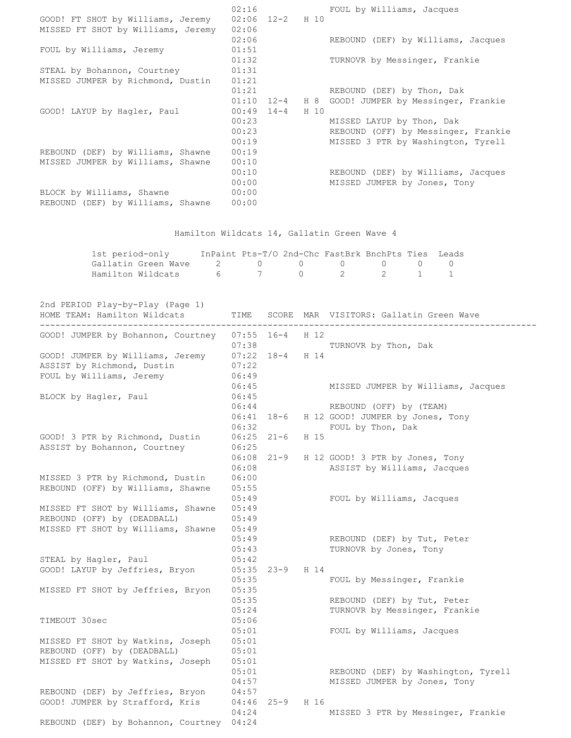|                                    | 02:16 |                   |      | FOUL by Williams, Jacques           |
|------------------------------------|-------|-------------------|------|-------------------------------------|
| GOOD! FT SHOT by Williams, Jeremy  |       | $02:06$ 12-2 H 10 |      |                                     |
| MISSED FT SHOT by Williams, Jeremy | 02:06 |                   |      |                                     |
|                                    | 02:06 |                   |      | REBOUND (DEF) by Williams, Jacques  |
| FOUL by Williams, Jeremy           | 01:51 |                   |      |                                     |
|                                    | 01:32 |                   |      | TURNOVR by Messinger, Frankie       |
| STEAL by Bohannon, Courtney        | 01:31 |                   |      |                                     |
| MISSED JUMPER by Richmond, Dustin  | 01:21 |                   |      |                                     |
|                                    | 01:21 |                   |      | REBOUND (DEF) by Thon, Dak          |
|                                    | 01:10 | $12 - 4$          | H 8  | GOOD! JUMPER by Messinger, Frankie  |
| GOOD! LAYUP by Hagler, Paul        | 00:49 | $14 - 4$          | H 10 |                                     |
|                                    | 00:23 |                   |      | MISSED LAYUP by Thon, Dak           |
|                                    | 00:23 |                   |      | REBOUND (OFF) by Messinger, Frankie |
|                                    | 00:19 |                   |      | MISSED 3 PTR by Washington, Tyrell  |
| REBOUND (DEF) by Williams, Shawne  | 00:19 |                   |      |                                     |
| MISSED JUMPER by Williams, Shawne  | 00:10 |                   |      |                                     |
|                                    | 00:10 |                   |      | REBOUND (DEF) by Williams, Jacques  |
|                                    | 00:00 |                   |      | MISSED JUMPER by Jones, Tony        |
| BLOCK by Williams, Shawne          | 00:00 |                   |      |                                     |
| REBOUND (DEF) by Williams, Shawne  | 00:00 |                   |      |                                     |

## Hamilton Wildcats 14, Gallatin Green Wave 4

| 1st period-only                                                               | InPaint Pts-T/O 2nd-Chc FastBrk BnchPts Ties Leads |             |  |  |
|-------------------------------------------------------------------------------|----------------------------------------------------|-------------|--|--|
| Gallatin Green Wave $\begin{array}{cccccc} 2 & 0 & 0 & 0 & 0 & 0 \end{array}$ |                                                    |             |  |  |
| Hamilton Wildcats 6                                                           |                                                    | 7 0 2 2 1 1 |  |  |

| 2nd PERIOD Play-by-Play (Page 1)<br>HOME TEAM: Hamilton Wildcats | TIME                  |                   |      | SCORE MAR VISITORS: Gallatin Green Wave                        |
|------------------------------------------------------------------|-----------------------|-------------------|------|----------------------------------------------------------------|
| GOOD! JUMPER by Bohannon, Courtney                               | $07:55$ 16-4<br>07:38 |                   | H 12 | TURNOVR by Thon, Dak                                           |
| GOOD! JUMPER by Williams, Jeremy                                 |                       | $07:22$ 18-4 H 14 |      |                                                                |
| ASSIST by Richmond, Dustin                                       | 07:22                 |                   |      |                                                                |
| FOUL by Williams, Jeremy                                         | 06:49                 |                   |      |                                                                |
|                                                                  | 06:45                 |                   |      | MISSED JUMPER by Williams, Jacques                             |
| BLOCK by Hagler, Paul                                            | 06:45                 |                   |      |                                                                |
|                                                                  | 06:44                 |                   |      | REBOUND (OFF) by (TEAM)                                        |
|                                                                  |                       | $06:41$ $18-6$    |      | H 12 GOOD! JUMPER by Jones, Tony                               |
|                                                                  | 06:32                 |                   |      | FOUL by Thon, Dak                                              |
| GOOD! 3 PTR by Richmond, Dustin                                  | $06:25$ $21-6$        |                   | H 15 |                                                                |
| ASSIST by Bohannon, Courtney                                     | 06:25                 |                   |      |                                                                |
|                                                                  | 06:08                 | $06:08$ $21-9$    |      | H 12 GOOD! 3 PTR by Jones, Tony<br>ASSIST by Williams, Jacques |
| MISSED 3 PTR by Richmond, Dustin                                 |                       |                   |      |                                                                |
| REBOUND (OFF) by Williams, Shawne                                | 06:00<br>05:55        |                   |      |                                                                |
|                                                                  | 05:49                 |                   |      | FOUL by Williams, Jacques                                      |
| MISSED FT SHOT by Williams, Shawne                               | 05:49                 |                   |      |                                                                |
| REBOUND (OFF) by (DEADBALL)                                      | 05:49                 |                   |      |                                                                |
| MISSED FT SHOT by Williams, Shawne                               | 05:49                 |                   |      |                                                                |
|                                                                  | 05:49                 |                   |      | REBOUND (DEF) by Tut, Peter                                    |
|                                                                  | 05:43                 |                   |      | TURNOVR by Jones, Tony                                         |
| STEAL by Hagler, Paul                                            | 05:42                 |                   |      |                                                                |
| GOOD! LAYUP by Jeffries, Bryon                                   |                       | $05:35$ 23-9      | H 14 |                                                                |
|                                                                  | 05:35                 |                   |      | FOUL by Messinger, Frankie                                     |
| MISSED FT SHOT by Jeffries, Bryon                                | 05:35                 |                   |      |                                                                |
|                                                                  | 05:35                 |                   |      | REBOUND (DEF) by Tut, Peter                                    |
|                                                                  | 05:24                 |                   |      | TURNOVR by Messinger, Frankie                                  |
| TIMEOUT 30sec                                                    | 05:06                 |                   |      |                                                                |
|                                                                  | 05:01                 |                   |      | FOUL by Williams, Jacques                                      |
| MISSED FT SHOT by Watkins, Joseph                                | 05:01                 |                   |      |                                                                |
| REBOUND (OFF) by (DEADBALL)                                      | 05:01                 |                   |      |                                                                |
| MISSED FT SHOT by Watkins, Joseph                                | 05:01                 |                   |      |                                                                |
|                                                                  | 05:01                 |                   |      | REBOUND (DEF) by Washington, Tyrell                            |
|                                                                  | 04:57                 |                   |      | MISSED JUMPER by Jones, Tony                                   |
| REBOUND (DEF) by Jeffries, Bryon                                 | 04:57                 |                   |      |                                                                |
| GOOD! JUMPER by Strafford, Kris                                  |                       | $04:46$ 25-9      | H 16 |                                                                |
|                                                                  | 04:24                 |                   |      | MISSED 3 PTR by Messinger, Frankie                             |
| REBOUND (DEF) by Bohannon, Courtney 04:24                        |                       |                   |      |                                                                |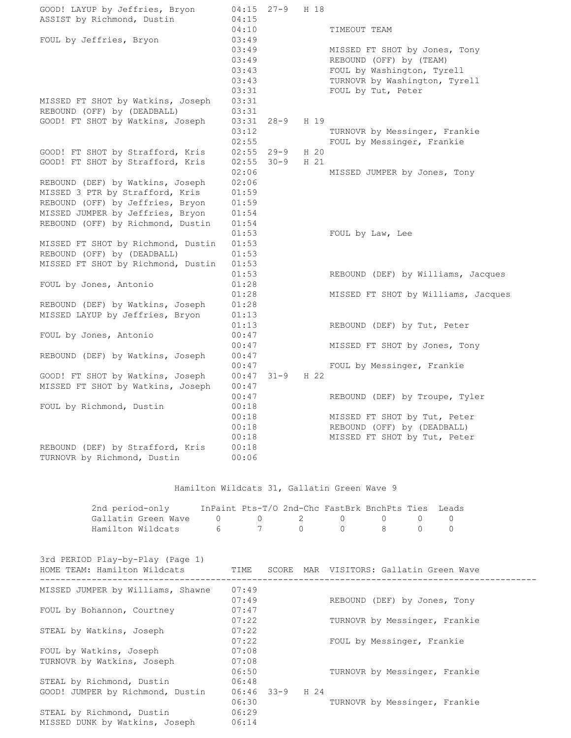| GOOD! LAYUP by Jeffries, Bryon     | 04:15 | $27 - 9$ | H 18 |                                     |
|------------------------------------|-------|----------|------|-------------------------------------|
| ASSIST by Richmond, Dustin         | 04:15 |          |      |                                     |
|                                    | 04:10 |          |      | TIMEOUT TEAM                        |
| FOUL by Jeffries, Bryon            | 03:49 |          |      |                                     |
|                                    | 03:49 |          |      | MISSED FT SHOT by Jones, Tony       |
|                                    | 03:49 |          |      | REBOUND (OFF) by (TEAM)             |
|                                    | 03:43 |          |      | FOUL by Washington, Tyrell          |
|                                    | 03:43 |          |      | TURNOVR by Washington, Tyrell       |
|                                    | 03:31 |          |      | FOUL by Tut, Peter                  |
| MISSED FT SHOT by Watkins, Joseph  | 03:31 |          |      |                                     |
| REBOUND (OFF) by (DEADBALL)        | 03:31 |          |      |                                     |
| GOOD! FT SHOT by Watkins, Joseph   | 03:31 | $28 - 9$ | H 19 |                                     |
|                                    | 03:12 |          |      | TURNOVR by Messinger, Frankie       |
|                                    | 02:55 |          |      | FOUL by Messinger, Frankie          |
| GOOD! FT SHOT by Strafford, Kris   | 02:55 | 29-9     | H 20 |                                     |
| GOOD! FT SHOT by Strafford, Kris   | 02:55 | $30 - 9$ | H 21 |                                     |
|                                    | 02:06 |          |      | MISSED JUMPER by Jones, Tony        |
| REBOUND (DEF) by Watkins, Joseph   | 02:06 |          |      |                                     |
| MISSED 3 PTR by Strafford, Kris    | 01:59 |          |      |                                     |
| REBOUND (OFF) by Jeffries, Bryon   | 01:59 |          |      |                                     |
| MISSED JUMPER by Jeffries, Bryon   | 01:54 |          |      |                                     |
| REBOUND (OFF) by Richmond, Dustin  | 01:54 |          |      |                                     |
|                                    | 01:53 |          |      | FOUL by Law, Lee                    |
| MISSED FT SHOT by Richmond, Dustin | 01:53 |          |      |                                     |
| REBOUND (OFF) by (DEADBALL)        | 01:53 |          |      |                                     |
| MISSED FT SHOT by Richmond, Dustin | 01:53 |          |      |                                     |
|                                    | 01:53 |          |      | REBOUND (DEF) by Williams, Jacques  |
| FOUL by Jones, Antonio             | 01:28 |          |      |                                     |
|                                    | 01:28 |          |      | MISSED FT SHOT by Williams, Jacques |
| REBOUND (DEF) by Watkins, Joseph   | 01:28 |          |      |                                     |
| MISSED LAYUP by Jeffries, Bryon    | 01:13 |          |      |                                     |
|                                    | 01:13 |          |      | REBOUND (DEF) by Tut, Peter         |
| FOUL by Jones, Antonio             | 00:47 |          |      |                                     |
|                                    | 00:47 |          |      | MISSED FT SHOT by Jones, Tony       |
| REBOUND (DEF) by Watkins, Joseph   | 00:47 |          |      |                                     |
|                                    | 00:47 |          |      | FOUL by Messinger, Frankie          |
| GOOD! FT SHOT by Watkins, Joseph   | 00:47 | $31 - 9$ | H 22 |                                     |
| MISSED FT SHOT by Watkins, Joseph  | 00:47 |          |      |                                     |
|                                    | 00:47 |          |      | REBOUND (DEF) by Troupe, Tyler      |
| FOUL by Richmond, Dustin           | 00:18 |          |      |                                     |
|                                    | 00:18 |          |      | MISSED FT SHOT by Tut, Peter        |
|                                    | 00:18 |          |      | REBOUND (OFF) by (DEADBALL)         |
|                                    | 00:18 |          |      | MISSED FT SHOT by Tut, Peter        |
| REBOUND (DEF) by Strafford, Kris   | 00:18 |          |      |                                     |
| TURNOVR by Richmond, Dustin        | 00:06 |          |      |                                     |
|                                    |       |          |      |                                     |

## Hamilton Wildcats 31, Gallatin Green Wave 9

| 2nd period-only                   | InPaint Pts-T/O 2nd-Chc FastBrk BnchPts Ties Leads |  |  |  |
|-----------------------------------|----------------------------------------------------|--|--|--|
|                                   |                                                    |  |  |  |
| Hamilton Wildcats 6 6 7 0 0 8 0 0 |                                                    |  |  |  |

3rd PERIOD Play-by-Play (Page 1)

| HOME TEAM: Hamilton Wildcats      | TIME         |      | SCORE MAR VISITORS: Gallatin Green Wave |
|-----------------------------------|--------------|------|-----------------------------------------|
| MISSED JUMPER by Williams, Shawne | 07:49        |      |                                         |
|                                   | 07:49        |      | REBOUND (DEF) by Jones, Tony            |
| FOUL by Bohannon, Courtney        | 07:47        |      |                                         |
|                                   | 07:22        |      | TURNOVR by Messinger, Frankie           |
| STEAL by Watkins, Joseph          | 07:22        |      |                                         |
|                                   | 07:22        |      | FOUL by Messinger, Frankie              |
| FOUL by Watkins, Joseph           | 07:08        |      |                                         |
| TURNOVR by Watkins, Joseph        | 07:08        |      |                                         |
|                                   | 06:50        |      | TURNOVR by Messinger, Frankie           |
| STEAL by Richmond, Dustin         | 06:48        |      |                                         |
| GOOD! JUMPER by Richmond, Dustin  | $06:46$ 33-9 | H 24 |                                         |
|                                   | 06:30        |      | TURNOVR by Messinger, Frankie           |
| STEAL by Richmond, Dustin         | 06:29        |      |                                         |
| MISSED DUNK by Watkins, Joseph    | 06:14        |      |                                         |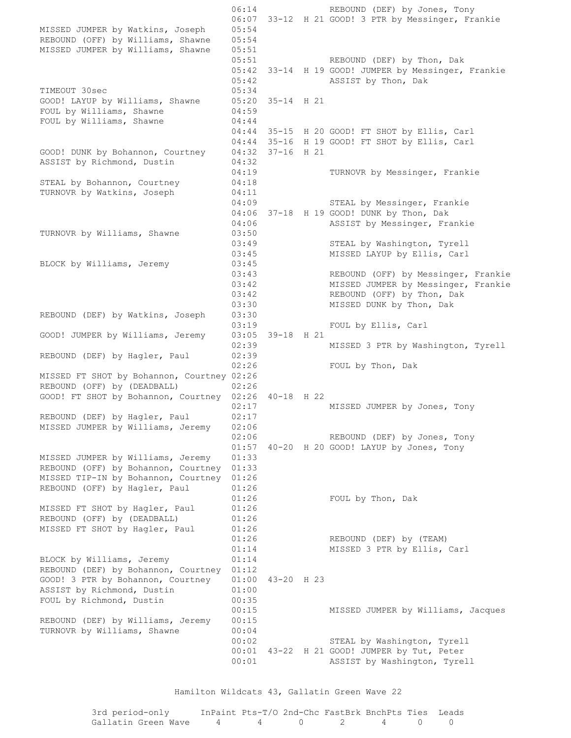06:14 REBOUND (DEF) by Jones, Tony 06:07 33-12 H 21 GOOD! 3 PTR by Messinger, Frankie MISSED JUMPER by Watkins, Joseph 05:54 REBOUND (OFF) by Williams, Shawne 05:54 MISSED JUMPER by Williams, Shawne 05:51 05:51 REBOUND (DEF) by Thon, Dak 05:42 33-14 H 19 GOOD! JUMPER by Messinger, Frankie 05:42 ASSIST by Thon, Dak TIMEOUT 30sec 05:34 GOOD! LAYUP by Williams, Shawne 05:20 35-14 H 21 FOUL by Williams, Shawne 04:59 FOUL by Williams, Shawne 04:44 04:44 35-15 H 20 GOOD! FT SHOT by Ellis, Carl 04:44 35-16 H 19 GOOD! FT SHOT by Ellis, Carl GOOD! DUNK by Bohannon, Courtney 04:32 37-16 H 21 ASSIST by Richmond, Dustin 04:32 04:19 TURNOVR by Messinger, Frankie STEAL by Bohannon, Courtney 04:18 TURNOVR by Watkins, Joseph 04:11 04:09 STEAL by Messinger, Frankie 04:06 37-18 H 19 GOOD! DUNK by Thon, Dak 04:06 **ASSIST** by Messinger, Frankie TURNOVR by Williams, Shawne 03:50 03:49 STEAL by Washington, Tyrell 03:45 MISSED LAYUP by Ellis, Carl BLOCK by Williams, Jeremy 03:45 03:43 REBOUND (OFF) by Messinger, Frankie 03:42 MISSED JUMPER by Messinger, Frankie  $03:42$  REBOUND (OFF) by Thon, Dak 03:30 MISSED DUNK by Thon, Dak REBOUND (DEF) by Watkins, Joseph 03:30 03:19 FOUL by Ellis, Carl GOOD! JUMPER by Williams, Jeremy 03:05 39-18 H 21 02:39 MISSED 3 PTR by Washington, Tyrell REBOUND (DEF) by Hagler, Paul 02:39 02:26 FOUL by Thon, Dak MISSED FT SHOT by Bohannon, Courtney 02:26 REBOUND (OFF) by (DEADBALL) 02:26 GOOD! FT SHOT by Bohannon, Courtney 02:26 40-18 H 22 02:17 MISSED JUMPER by Jones, Tony REBOUND (DEF) by Hagler, Paul 02:17 MISSED JUMPER by Williams, Jeremy 02:06 02:06 REBOUND (DEF) by Jones, Tony 01:57 40-20 H 20 GOOD! LAYUP by Jones, Tony MISSED JUMPER by Williams, Jeremy 01:33 REBOUND (OFF) by Bohannon, Courtney 01:33 MISSED TIP-IN by Bohannon, Courtney 01:26 REBOUND (OFF) by Hagler, Paul 01:26 01:26 FOUL by Thon, Dak MISSED FT SHOT by Hagler, Paul 01:26 REBOUND (OFF) by (DEADBALL) 01:26 MISSED FT SHOT by Hagler, Paul 01:26 01:26 REBOUND (DEF) by (TEAM) 01:14 MISSED 3 PTR by Ellis, Carl BLOCK by Williams, Jeremy 01:14 REBOUND (DEF) by Bohannon, Courtney 01:12 GOOD! 3 PTR by Bohannon, Courtney 01:00 43-20 H 23 ASSIST by Richmond, Dustin 01:00 ASSIST by Richmond, Dustin 01:00<br>FOUL by Richmond, Dustin 00:35 00:15 MISSED JUMPER by Williams, Jacques REBOUND (DEF) by Williams, Jeremy 00:15 TURNOVR by Williams, Shawne 00:04 00:02 STEAL by Washington, Tyrell 00:01 43-22 H 21 GOOD! JUMPER by Tut, Peter 00:01 ASSIST by Washington, Tyrell

Hamilton Wildcats 43, Gallatin Green Wave 22

| 3rd period-only                                                               | InPaint Pts-T/O 2nd-Chc FastBrk BnchPts Ties Leads |  |  |  |
|-------------------------------------------------------------------------------|----------------------------------------------------|--|--|--|
| Gallatin Green Wave $\begin{array}{cccccc} 4 & 4 & 0 & 2 & 4 & 0 \end{array}$ |                                                    |  |  |  |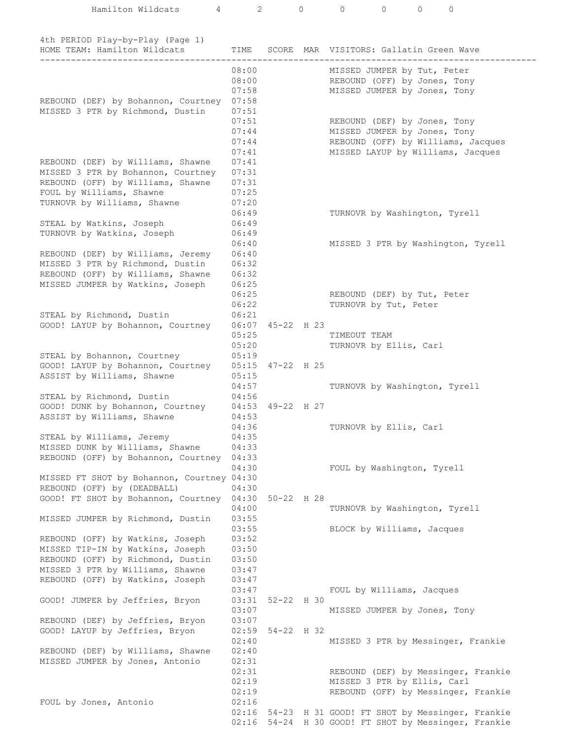| Hamilton Wildcats<br>4                                           | $\mathbf{2}^{\prime}$ |                    | $\circ$ | $\circ$<br>$\mathbf{0}$<br>$\mathbf{0}$<br>0                       |
|------------------------------------------------------------------|-----------------------|--------------------|---------|--------------------------------------------------------------------|
|                                                                  |                       |                    |         |                                                                    |
|                                                                  |                       |                    |         |                                                                    |
| 4th PERIOD Play-by-Play (Page 1)<br>HOME TEAM: Hamilton Wildcats | TIME                  | SCORE              | MAR     | VISITORS: Gallatin Green Wave                                      |
|                                                                  |                       |                    |         |                                                                    |
|                                                                  | 08:00                 |                    |         | MISSED JUMPER by Tut, Peter                                        |
|                                                                  | 08:00                 |                    |         | REBOUND (OFF) by Jones, Tony                                       |
|                                                                  | 07:58                 |                    |         | MISSED JUMPER by Jones, Tony                                       |
| REBOUND (DEF) by Bohannon, Courtney                              | 07:58                 |                    |         |                                                                    |
| MISSED 3 PTR by Richmond, Dustin                                 | 07:51                 |                    |         |                                                                    |
|                                                                  | 07:51                 |                    |         | REBOUND (DEF) by Jones, Tony                                       |
|                                                                  | 07:44<br>07:44        |                    |         | MISSED JUMPER by Jones, Tony<br>REBOUND (OFF) by Williams, Jacques |
|                                                                  | 07:41                 |                    |         | MISSED LAYUP by Williams, Jacques                                  |
| REBOUND (DEF) by Williams, Shawne                                | 07:41                 |                    |         |                                                                    |
| MISSED 3 PTR by Bohannon, Courtney                               | 07:31                 |                    |         |                                                                    |
| REBOUND (OFF) by Williams, Shawne                                | 07:31                 |                    |         |                                                                    |
| FOUL by Williams, Shawne                                         | 07:25                 |                    |         |                                                                    |
| TURNOVR by Williams, Shawne                                      | 07:20                 |                    |         |                                                                    |
|                                                                  | 06:49                 |                    |         | TURNOVR by Washington, Tyrell                                      |
| STEAL by Watkins, Joseph                                         | 06:49                 |                    |         |                                                                    |
| TURNOVR by Watkins, Joseph                                       | 06:49<br>06:40        |                    |         |                                                                    |
| REBOUND (DEF) by Williams, Jeremy                                | 06:40                 |                    |         | MISSED 3 PTR by Washington, Tyrell                                 |
| MISSED 3 PTR by Richmond, Dustin                                 | 06:32                 |                    |         |                                                                    |
| REBOUND (OFF) by Williams, Shawne                                | 06:32                 |                    |         |                                                                    |
| MISSED JUMPER by Watkins, Joseph                                 | 06:25                 |                    |         |                                                                    |
|                                                                  | 06:25                 |                    |         | REBOUND (DEF) by Tut, Peter                                        |
|                                                                  | 06:22                 |                    |         | TURNOVR by Tut, Peter                                              |
| STEAL by Richmond, Dustin                                        | 06:21                 |                    |         |                                                                    |
| GOOD! LAYUP by Bohannon, Courtney                                |                       | 06:07 45-22 H 23   |         |                                                                    |
|                                                                  | 05:25<br>05:20        |                    |         | TIMEOUT TEAM<br>TURNOVR by Ellis, Carl                             |
| STEAL by Bohannon, Courtney                                      | 05:19                 |                    |         |                                                                    |
| GOOD! LAYUP by Bohannon, Courtney                                |                       | $05:15$ 47-22 H 25 |         |                                                                    |
| ASSIST by Williams, Shawne                                       | 05:15                 |                    |         |                                                                    |
|                                                                  | 04:57                 |                    |         | TURNOVR by Washington, Tyrell                                      |
| STEAL by Richmond, Dustin                                        | 04:56                 |                    |         |                                                                    |
| GOOD! DUNK by Bohannon, Courtney                                 | 04:53                 | 49-22 H 27         |         |                                                                    |
| ASSIST by Williams, Shawne                                       | 04:53                 |                    |         |                                                                    |
| STEAL by Williams, Jeremy                                        | 04:36<br>04:35        |                    |         | TURNOVR by Ellis, Carl                                             |
| MISSED DUNK by Williams, Shawne                                  | 04:33                 |                    |         |                                                                    |
| REBOUND (OFF) by Bohannon, Courtney                              | 04:33                 |                    |         |                                                                    |
|                                                                  | 04:30                 |                    |         | FOUL by Washington, Tyrell                                         |
| MISSED FT SHOT by Bohannon, Courtney 04:30                       |                       |                    |         |                                                                    |
| REBOUND (OFF) by (DEADBALL)                                      | 04:30                 |                    |         |                                                                    |
| GOOD! FT SHOT by Bohannon, Courtney                              | 04:30                 | $50 - 22$ H 28     |         |                                                                    |
| MISSED JUMPER by Richmond, Dustin                                | 04:00<br>03:55        |                    |         | TURNOVR by Washington, Tyrell                                      |
|                                                                  | 03:55                 |                    |         | BLOCK by Williams, Jacques                                         |
| REBOUND (OFF) by Watkins, Joseph                                 | 03:52                 |                    |         |                                                                    |
| MISSED TIP-IN by Watkins, Joseph                                 | 03:50                 |                    |         |                                                                    |
| REBOUND (OFF) by Richmond, Dustin                                | 03:50                 |                    |         |                                                                    |
| MISSED 3 PTR by Williams, Shawne                                 | 03:47                 |                    |         |                                                                    |
| REBOUND (OFF) by Watkins, Joseph                                 | 03:47                 |                    |         |                                                                    |
|                                                                  | 03:47                 |                    |         | FOUL by Williams, Jacques                                          |
| GOOD! JUMPER by Jeffries, Bryon                                  | 03:31<br>03:07        | $52 - 22$ H 30     |         |                                                                    |
| REBOUND (DEF) by Jeffries, Bryon                                 | 03:07                 |                    |         | MISSED JUMPER by Jones, Tony                                       |
| GOOD! LAYUP by Jeffries, Bryon                                   | 02:59                 | 54-22 H 32         |         |                                                                    |
|                                                                  | 02:40                 |                    |         | MISSED 3 PTR by Messinger, Frankie                                 |
| REBOUND (DEF) by Williams, Shawne                                | 02:40                 |                    |         |                                                                    |
| MISSED JUMPER by Jones, Antonio                                  | 02:31                 |                    |         |                                                                    |
|                                                                  | 02:31                 |                    |         | REBOUND (DEF) by Messinger, Frankie                                |
|                                                                  | 02:19                 |                    |         | MISSED 3 PTR by Ellis, Carl                                        |
|                                                                  | 02:19                 |                    |         | REBOUND (OFF) by Messinger, Frankie                                |
| FOUL by Jones, Antonio                                           | 02:16<br>02:16        |                    |         | 54-23 H 31 GOOD! FT SHOT by Messinger, Frankie                     |
|                                                                  | 02:16                 |                    |         | 54-24 H 30 GOOD! FT SHOT by Messinger, Frankie                     |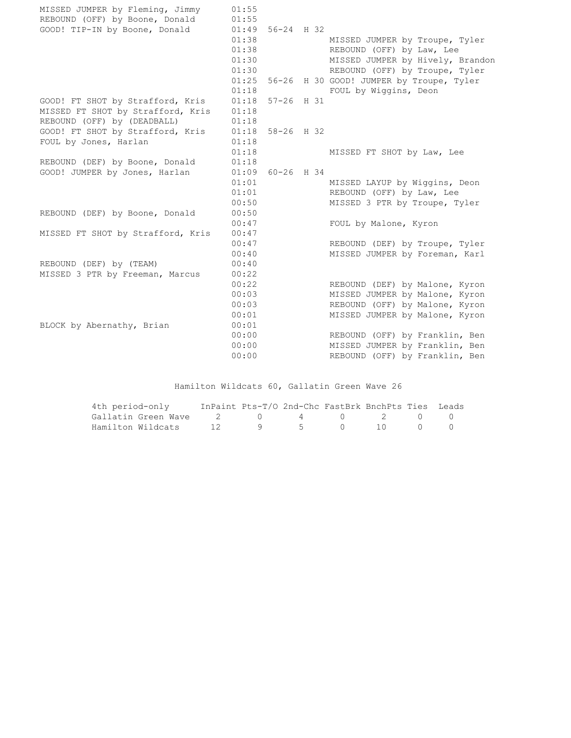| MISSED JUMPER by Fleming, Jimmy<br>REBOUND (OFF) by Boone, Donald | 01:55<br>01:55 |                    |                                                |
|-------------------------------------------------------------------|----------------|--------------------|------------------------------------------------|
| GOOD! TIP-IN by Boone, Donald                                     |                | $01:49$ 56-24 H 32 |                                                |
|                                                                   | 01:38          |                    | MISSED JUMPER by Troupe, Tyler                 |
|                                                                   | 01:38          |                    | REBOUND (OFF) by Law, Lee                      |
|                                                                   | 01:30          |                    | MISSED JUMPER by Hively, Brandon               |
|                                                                   | 01:30          |                    | REBOUND (OFF) by Troupe, Tyler                 |
|                                                                   |                |                    | 01:25 56-26 H 30 GOOD! JUMPER by Troupe, Tyler |
|                                                                   | 01:18          |                    | FOUL by Wiggins, Deon                          |
|                                                                   |                |                    |                                                |
| GOOD! FT SHOT by Strafford, Kris                                  |                | $01:18$ 57-26 H 31 |                                                |
| MISSED FT SHOT by Strafford, Kris                                 | 01:18          |                    |                                                |
| REBOUND (OFF) by (DEADBALL)                                       | 01:18          |                    |                                                |
| GOOD! FT SHOT by Strafford, Kris                                  |                | $01:18$ 58-26 H 32 |                                                |
| FOUL by Jones, Harlan                                             | 01:18          |                    |                                                |
|                                                                   | 01:18          |                    | MISSED FT SHOT by Law, Lee                     |
| REBOUND (DEF) by Boone, Donald                                    | 01:18          |                    |                                                |
| GOOD! JUMPER by Jones, Harlan                                     |                | 01:09 60-26 H 34   |                                                |
|                                                                   | 01:01          |                    | MISSED LAYUP by Wiggins, Deon                  |
|                                                                   | 01:01          |                    | REBOUND (OFF) by Law, Lee                      |
|                                                                   | 00:50          |                    | MISSED 3 PTR by Troupe, Tyler                  |
| REBOUND (DEF) by Boone, Donald                                    | 00:50          |                    |                                                |
|                                                                   | 00:47          |                    | FOUL by Malone, Kyron                          |
| MISSED FT SHOT by Strafford, Kris                                 | 00:47          |                    |                                                |
|                                                                   | 00:47          |                    | REBOUND (DEF) by Troupe, Tyler                 |
|                                                                   | 00:40          |                    | MISSED JUMPER by Foreman, Karl                 |
| REBOUND (DEF) by (TEAM)                                           | 00:40          |                    |                                                |
| MISSED 3 PTR by Freeman, Marcus                                   | 00:22          |                    |                                                |
|                                                                   | 00:22          |                    | REBOUND (DEF) by Malone, Kyron                 |
|                                                                   | 00:03          |                    | MISSED JUMPER by Malone, Kyron                 |
|                                                                   | 00:03          |                    | REBOUND (OFF) by Malone, Kyron                 |
|                                                                   | 00:01          |                    | MISSED JUMPER by Malone, Kyron                 |
| BLOCK by Abernathy, Brian                                         | 00:01          |                    |                                                |
|                                                                   | 00:00          |                    | REBOUND (OFF) by Franklin, Ben                 |
|                                                                   | 00:00          |                    | MISSED JUMPER by Franklin, Ben                 |
|                                                                   | 00:00          |                    | REBOUND (OFF) by Franklin, Ben                 |

Hamilton Wildcats 60, Gallatin Green Wave 26

| 4th period-only                                                                   | InPaint Pts-T/O 2nd-Chc FastBrk BnchPts Ties Leads |                 |  |  |  |
|-----------------------------------------------------------------------------------|----------------------------------------------------|-----------------|--|--|--|
| Gallatin Green Wave $\begin{array}{cccccc} 2 & 0 & 4 & 0 & 2 & 0 & 0 \end{array}$ |                                                    |                 |  |  |  |
| Hamilton Wildcats                                                                 |                                                    | 12 9 5 0 10 0 0 |  |  |  |